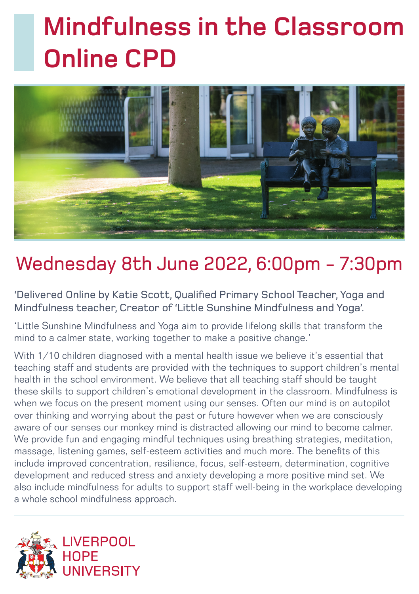## **Mindfulness in the Classroom Online CPD**



### Wednesday 8th June 2022, 6:00pm - 7:30pm

'Delivered Online by Katie Scott, Qualified Primary School Teacher, Yoga and Mindfulness teacher, Creator of 'Little Sunshine Mindfulness and Yoga'.

'Little Sunshine Mindfulness and Yoga aim to provide lifelong skills that transform the mind to a calmer state, working together to make a positive change.'

With 1/10 children diagnosed with a mental health issue we believe it's essential that teaching staff and students are provided with the techniques to support children's mental health in the school environment. We believe that all teaching staff should be taught these skills to support children's emotional development in the classroom. Mindfulness is when we focus on the present moment using our senses. Often our mind is on autopilot over thinking and worrying about the past or future however when we are consciously aware of our senses our monkey mind is distracted allowing our mind to become calmer. We provide fun and engaging mindful techniques using breathing strategies, meditation, massage, listening games, self-esteem activities and much more. The benefits of this include improved concentration, resilience, focus, self-esteem, determination, cognitive development and reduced stress and anxiety developing a more positive mind set. We also include mindfulness for adults to support staff well-being in the workplace developing a whole school mindfulness approach.